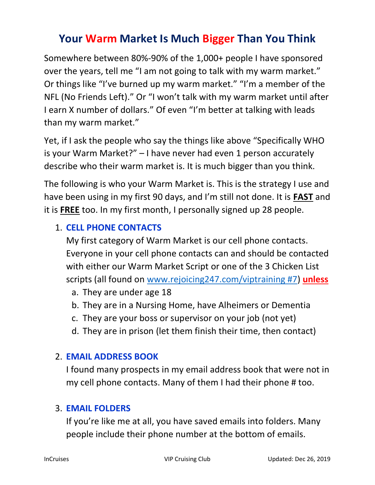# Your Warm Market Is Much Bigger Than You Think

Somewhere between 80%-90% of the 1,000+ people I have sponsored over the years, tell me "I am not going to talk with my warm market." Or things like "I've burned up my warm market." "I'm a member of the NFL (No Friends Left)." Or "I won't talk with my warm market until after I earn X number of dollars." Of even "I'm better at talking with leads than my warm market."

Yet, if I ask the people who say the things like above "Specifically WHO is your Warm Market?" – I have never had even 1 person accurately describe who their warm market is. It is much bigger than you think.

The following is who your Warm Market is. This is the strategy I use and have been using in my first 90 days, and I'm still not done. It is **FAST** and it is FREE too. In my first month, I personally signed up 28 people.

## 1. CELL PHONE CONTACTS

My first category of Warm Market is our cell phone contacts. Everyone in your cell phone contacts can and should be contacted with either our Warm Market Script or one of the 3 Chicken List scripts (all found on www.rejoicing247.com/viptraining #7) unless

- a. They are under age 18
- b. They are in a Nursing Home, have Alheimers or Dementia
- c. They are your boss or supervisor on your job (not yet)
- d. They are in prison (let them finish their time, then contact)

### 2. EMAIL ADDRESS BOOK

I found many prospects in my email address book that were not in my cell phone contacts. Many of them I had their phone # too.

### 3. EMAIL FOLDERS

If you're like me at all, you have saved emails into folders. Many people include their phone number at the bottom of emails.